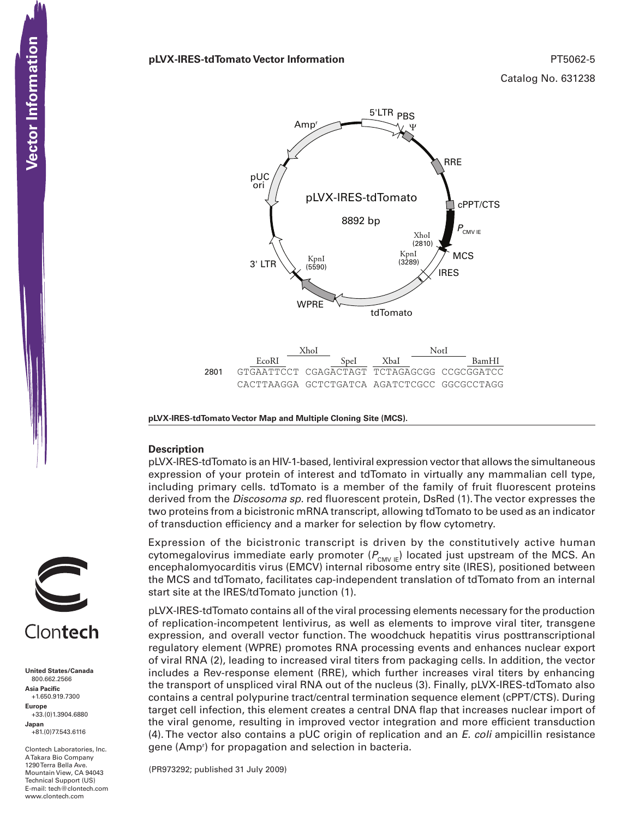### **pLVX-IRES-tdTomato Vector Information** PT5062-5

Catalog No. 631238



**pLVX-IRES-tdTomato Vector Map and Multiple Cloning Site (MCS).**

### **Description**

pLVX-IRES-tdTomato is an HIV-1-based, lentiviral expression vector that allows the simultaneous expression of your protein of interest and tdTomato in virtually any mammalian cell type, including primary cells. tdTomato is a member of the family of fruit fluorescent proteins derived from the *Discosoma sp.* red fluorescent protein, DsRed (1). The vector expresses the two proteins from a bicistronic mRNA transcript, allowing tdTomato to be used as an indicator of transduction efficiency and a marker for selection by flow cytometry.

Expression of the bicistronic transcript is driven by the constitutively active human cytomegalovirus immediate early promoter ( $P_{\text{CMV IE}}$ ) located just upstream of the MCS. An encephalomyocarditis virus (EMCV) internal ribosome entry site (IRES), positioned between the MCS and tdTomato, facilitates cap-independent translation of tdTomato from an internal start site at the IRES/tdTomato junction (1).

pLVX-IRES-tdTomato contains all of the viral processing elements necessary for the production of replication-incompetent lentivirus, as well as elements to improve viral titer, transgene expression, and overall vector function. The woodchuck hepatitis virus posttranscriptional regulatory element (WPRE) promotes RNA processing events and enhances nuclear export of viral RNA (2), leading to increased viral titers from packaging cells. In addition, the vector includes a Rev-response element (RRE), which further increases viral titers by enhancing the transport of unspliced viral RNA out of the nucleus (3). Finally, pLVX-IRES-tdTomato also contains a central polypurine tract/central termination sequence element (cPPT/CTS). During target cell infection, this element creates a central DNA flap that increases nuclear import of the viral genome, resulting in improved vector integration and more efficient transduction (4). The vector also contains a pUC origin of replication and an *E. coli* ampicillin resistance gene (Amp<sup>r</sup>) for propagation and selection in bacteria.

(PR973292; published 31 July 2009)



**United States/Canada** 800.662.2566 **Asia Pacific** +1.650.919.7300 **Europe** +33.(0)1.3904.6880 **Japan** +81.(0)77.543.6116

Clontech Laboratories, Inc. A Takara Bio Company 1290 Terra Bella Ave. Mountain View, CA 94043 Technical Support (US) E-mail: tech@clontech.com<br>www.clontech.com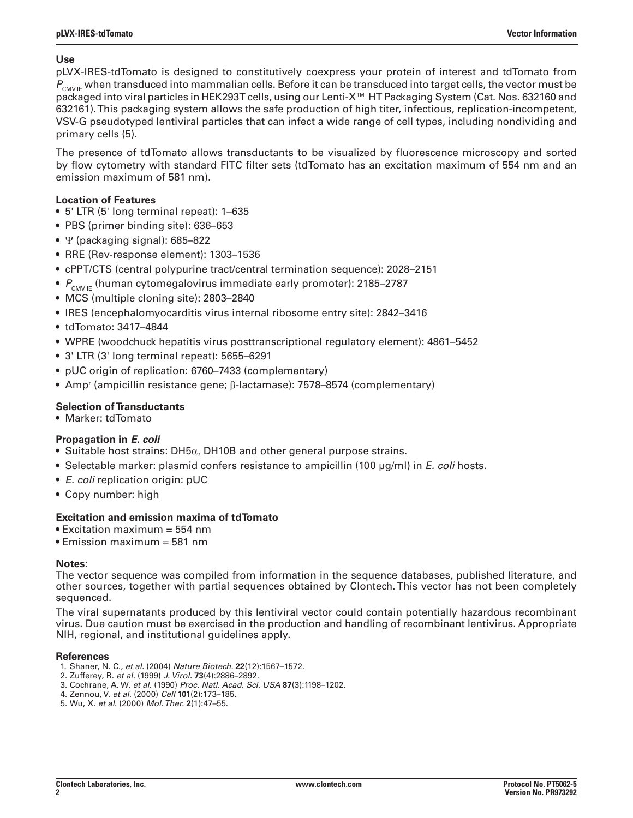## **Use**

pLVX-IRES-tdTomato is designed to constitutively coexpress your protein of interest and tdTomato from P<sub>CMV IF</sub> when transduced into mammalian cells. Before it can be transduced into target cells, the vector must be packaged into viral particles in HEK293T cells, using our Lenti-X™ HT Packaging System (Cat. Nos. 632160 and 632161). This packaging system allows the safe production of high titer, infectious, replication-incompetent, VSV-G pseudotyped lentiviral particles that can infect a wide range of cell types, including nondividing and primary cells (5).

The presence of tdTomato allows transductants to be visualized by fluorescence microscopy and sorted by flow cytometry with standard FITC filter sets (tdTomato has an excitation maximum of 554 nm and an emission maximum of 581 nm).

## **Location of Features**

- 5' LTR (5' long terminal repeat): 1–635
- PBS (primer binding site): 636–653
- $\Psi$  (packaging signal): 685–822
- • RRE (Rev-response element): 1303–1536
- • cPPT/CTS (central polypurine tract/central termination sequence): 2028–2151
- $P_{\text{CMVE}}$  (human cytomegalovirus immediate early promoter): 2185–2787
- MCS (multiple cloning site): 2803–2840
- • IRES (encephalomyocarditis virus internal ribosome entry site): 2842–3416
- tdTomato: 3417-4844
- WPRE (woodchuck hepatitis virus posttranscriptional regulatory element): 4861–5452
- 3' LTR (3' long terminal repeat): 5655-6291
- pUC origin of replication: 6760–7433 (complementary)
- Amp<sup>r</sup> (ampicillin resistance gene; β-lactamase): 7578–8574 (complementary)

# **Selection of Transductants**

• Marker: tdTomato

# **Propagation in** *E. coli*

- Suitable host strains: DH5 $\alpha$ , DH10B and other general purpose strains.
- • Selectable marker: plasmid confers resistance to ampicillin (100 µg/ml) in *E. coli* hosts.
- • *E. coli* replication origin: pUC
- • Copy number: high

# **Excitation and emission maxima of tdTomato**

- Excitation maximum = 554 nm
- Emission maximum = 581 nm

### **Notes:**

The vector sequence was compiled from information in the sequence databases, published literature, and other sources, together with partial sequences obtained by Clontech. This vector has not been completely sequenced.

The viral supernatants produced by this lentiviral vector could contain potentially hazardous recombinant virus. Due caution must be exercised in the production and handling of recombinant lentivirus. Appropriate NIH, regional, and institutional guidelines apply.

### **References**

- 1. Shaner, N. C., *et al.* (2004) *Nature Biotech.* **22**(12):1567–1572.
- 2. Zufferey, R. *et al.* (1999) *J. Virol.* **73**(4):2886–2892.
- 3. Cochrane, A. W. *et al.* (1990) *Proc. Natl. Acad. Sci. USA* **87**(3):1198–1202.
- 4. Zennou, V. *et al.* (2000) *Cell* **101**(2):173–185.
- 5. Wu, X. *et al.* (2000) *Mol. Ther.* **2**(1):47–55.